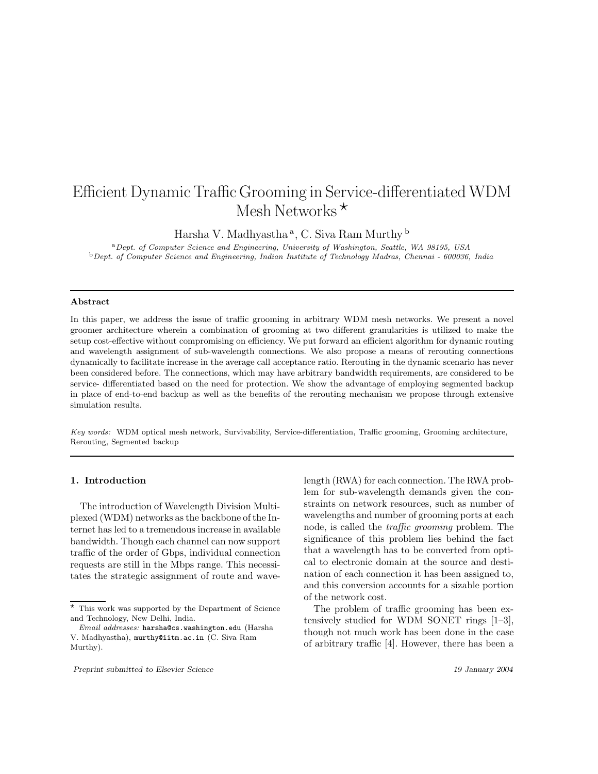# Efficient Dynamic Traffic Grooming in Service-differentiated WDM Mesh Networks  $\star$

Harsha V. Madhyastha<sup>a</sup>, C. Siva Ram Murthy<sup>b</sup>

<sup>a</sup>Dept. of Computer Science and Engineering, University of Washington, Seattle, WA 98195, USA  $b$  Dept. of Computer Science and Engineering, Indian Institute of Technology Madras, Chennai - 600036, India

#### Abstract

In this paper, we address the issue of traffic grooming in arbitrary WDM mesh networks. We present a novel groomer architecture wherein a combination of grooming at two different granularities is utilized to make the setup cost-effective without compromising on efficiency. We put forward an efficient algorithm for dynamic routing and wavelength assignment of sub-wavelength connections. We also propose a means of rerouting connections dynamically to facilitate increase in the average call acceptance ratio. Rerouting in the dynamic scenario has never been considered before. The connections, which may have arbitrary bandwidth requirements, are considered to be service- differentiated based on the need for protection. We show the advantage of employing segmented backup in place of end-to-end backup as well as the benefits of the rerouting mechanism we propose through extensive simulation results.

Key words: WDM optical mesh network, Survivability, Service-differentiation, Traffic grooming, Grooming architecture, Rerouting, Segmented backup

## 1. Introduction

The introduction of Wavelength Division Multiplexed (WDM) networks asthe backbone of the Internet has led to a tremendous increase in available bandwidth. Though each channel can now support traffic of the order of Gbps, individual connection requests are still in the Mbps range. This necessitates the strategic assignment of route and wavelength (RWA) for each connection. The RWA problem for sub-wavelength demands given the constraints on network resources, such as number of wavelengths and number of grooming ports at each node, is called the traffic grooming problem. The significance of this problem lies behind the fact that a wavelength has to be converted from optical to electronic domain at the source and destination of each connection it has been assigned to, and this conversion accounts for a sizable portion of the network cost.

The problem of traffic grooming has been extensively studied for WDM SONET rings [1–3], though not much work has been done in the case of arbitrary traffic [4]. However, there has been a

 $\overline{\star}$  This work was supported by the Department of Science and Technology, New Delhi, India.

Email addresses: harsha@cs.washington.edu (Harsha V. Madhyastha), murthy@iitm.ac.in (C. Siva Ram Murthy).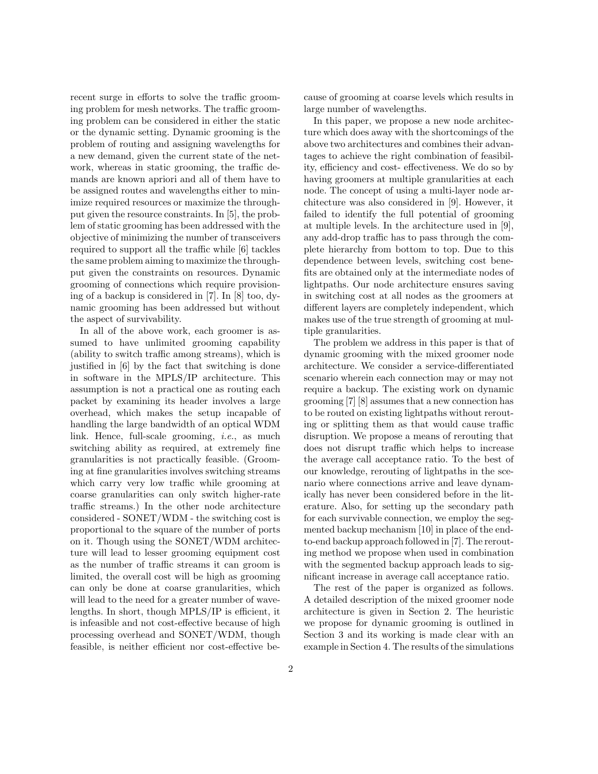recent surge in efforts to solve the traffic grooming problem for mesh networks. The traffic grooming problem can be considered in either the static or the dynamic setting. Dynamic grooming is the problem of routing and assigning wavelengths for a new demand, given the current state of the network, whereas in static grooming, the traffic demands are known apriori and all of them have to be assigned routes and wavelengths either to minimize required resources or maximize the throughput given the resource constraints. In [5], the problem of static grooming has been addressed with the objective of minimizing the number of transceivers required to support all the traffic while [6] tackles the same problem aiming to maximize the throughput given the constraints on resources. Dynamic grooming of connections which require provisioning of a backup is considered in [7]. In [8] too, dynamic grooming has been addressed but without the aspect of survivability.

In all of the above work, each groomer is assumed to have unlimited grooming capability (ability to switch traffic among streams), which is justified in [6] by the fact that switching is done in software in the MPLS/IP architecture. This assumption is not a practical one as routing each packet by examining its header involves a large overhead, which makes the setup incapable of handling the large bandwidth of an optical WDM link. Hence, full-scale grooming, i.e., as much switching ability as required, at extremely fine granularities is not practically feasible. (Grooming at fine granularities involves switching streams which carry very low traffic while grooming at coarse granularities can only switch higher-rate traffic streams.) In the other node architecture considered - SONET/WDM - the switching cost is proportional to the square of the number of ports on it. Though using the SONET/WDM architecture will lead to lesser grooming equipment cost as the number of traffic streams it can groom is limited, the overall cost will be high as grooming can only be done at coarse granularities, which will lead to the need for a greater number of wavelengths. In short, though MPLS/IP is efficient, it is infeasible and not cost-effective because of high processing overhead and SONET/WDM, though feasible, is neither efficient nor cost-effective be-

cause of grooming at coarse levels which results in large number of wavelengths.

In this paper, we propose a new node architecture which does away with the shortcomings of the above two architectures and combines their advantages to achieve the right combination of feasibility, efficiency and cost- effectiveness. We do so by having groomers at multiple granularities at each node. The concept of using a multi-layer node architecture was also considered in [9]. However, it failed to identify the full potential of grooming at multiple levels. In the architecture used in [9], any add-drop traffic has to pass through the complete hierarchy from bottom to top. Due to this dependence between levels, switching cost benefits are obtained only at the intermediate nodes of lightpaths. Our node architecture ensures saving in switching cost at all nodes as the groomers at different layers are completely independent, which makes use of the true strength of grooming at multiple granularities.

The problem we address in this paper is that of dynamic grooming with the mixed groomer node architecture. We consider a service-differentiated scenario wherein each connection may or may not require a backup. The existing work on dynamic grooming [7] [8] assumes that a new connection has to be routed on existing lightpaths without rerouting or splitting them as that would cause traffic disruption. We propose a means of rerouting that does not disrupt traffic which helps to increase the average call acceptance ratio. To the best of our knowledge, rerouting of lightpaths in the scenario where connections arrive and leave dynamically has never been considered before in the literature. Also, for setting up the secondary path for each survivable connection, we employ the segmented backup mechanism [10] in place of the endto-end backup approach followed in [7]. The rerouting method we propose when used in combination with the segmented backup approach leads to significant increase in average call acceptance ratio.

The rest of the paper is organized as follows. A detailed description of the mixed groomer node architecture is given in Section 2. The heuristic we propose for dynamic grooming is outlined in Section 3 and its working is made clear with an example in Section 4. The results of the simulations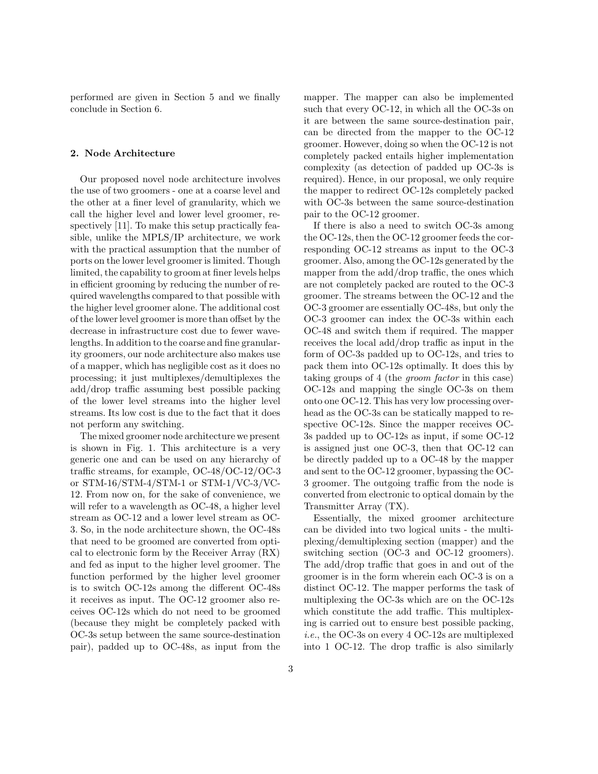performed are given in Section 5 and we finally conclude in Section 6.

### 2. Node Architecture

Our proposed novel node architecture involves the use of two groomers - one at a coarse level and the other at a finer level of granularity, which we call the higher level and lower level groomer, respectively [11]. To make this setup practically feasible, unlike the MPLS/IP architecture, we work with the practical assumption that the number of ports on the lower level groomer is limited. Though limited, the capability to groom at finer levels helps in efficient grooming by reducing the number of required wavelengths compared to that possible with the higher level groomer alone. The additional cost of the lowerlevel groomeris more than offset by the decrease in infrastructure cost due to fewer wavelengths. In addition to the coarse and fine granularity groomers, our node architecture also makes use of a mapper, which has negligible cost as it does no processing; it just multiplexes/demultiplexes the add/drop traffic assuming best possible packing of the lower level streams into the higher level streams. Its low cost is due to the fact that it does not perform any switching.

The mixed groomer node architecture we present is shown in Fig. 1. This architecture is a very generic one and can be used on any hierarchy of traffic streams, for example, OC-48/OC-12/OC-3 or STM-16/STM-4/STM-1 or STM-1/VC-3/VC-12. From now on, for the sake of convenience, we will refer to a wavelength as OC-48, a higher level stream as OC-12 and a lower level stream as OC-3. So, in the node architecture shown, the OC-48s that need to be groomed are converted from optical to electronic form by the Receiver Array (RX) and fed as input to the higher level groomer. The function performed by the higher level groomer is to switch OC-12s among the different OC-48s it receives as input. The OC-12 groomer also receives OC-12s which do not need to be groomed (because they might be completely packed with OC-3s setup between the same source-destination pair), padded up to OC-48s, as input from the

mapper. The mapper can also be implemented such that every OC-12, in which all the OC-3s on it are between the same source-destination pair, can be directed from the mapper to the OC-12 groomer. However, doing so when the OC-12 is not completely packed entails higher implementation complexity (as detection of padded up OC-3s is required). Hence, in our proposal, we only require the mapper to redirect OC-12s completely packed with OC-3s between the same source-destination pair to the OC-12 groomer.

If there is also a need to switch OC-3s among the OC-12s, then the OC-12 groomer feeds the corresponding OC-12 streams as input to the OC-3 groomer. Also, among the OC-12s generated by the mapper from the add/drop traffic, the ones which are not completely packed are routed to the OC-3 groomer. The streams between the OC-12 and the OC-3 groomer are essentially OC-48s, but only the OC-3 groomer can index the OC-3s within each OC-48 and switch them if required. The mapper receives the local add/drop traffic as input in the form of OC-3s padded up to OC-12s, and tries to pack them into OC-12s optimally. It does this by taking groups of 4 (the groom factor in this case) OC-12s and mapping the single OC-3s on them onto one OC-12. This has very low processing overhead as the OC-3s can be statically mapped to respective OC-12s. Since the mapper receives OC-3s padded up to OC-12s as input, if some OC-12 is assigned just one OC-3, then that OC-12 can be directly padded up to a OC-48 by the mapper and sent to the OC-12 groomer, bypassing the OC-3 groomer. The outgoing traffic from the node is converted from electronic to optical domain by the Transmitter Array (TX).

Essentially, the mixed groomer architecture can be divided into two logical units - the multiplexing/demultiplexing section (mapper) and the switching section (OC-3 and OC-12 groomers). The add/drop traffic that goes in and out of the groomer is in the form wherein each OC-3 is on a distinct OC-12. The mapper performs the task of multiplexing the OC-3s which are on the OC-12s which constitute the add traffic. This multiplexing is carried out to ensure best possible packing, i.e., the OC-3s on every 4 OC-12s are multiplexed into 1 OC-12. The drop traffic is also similarly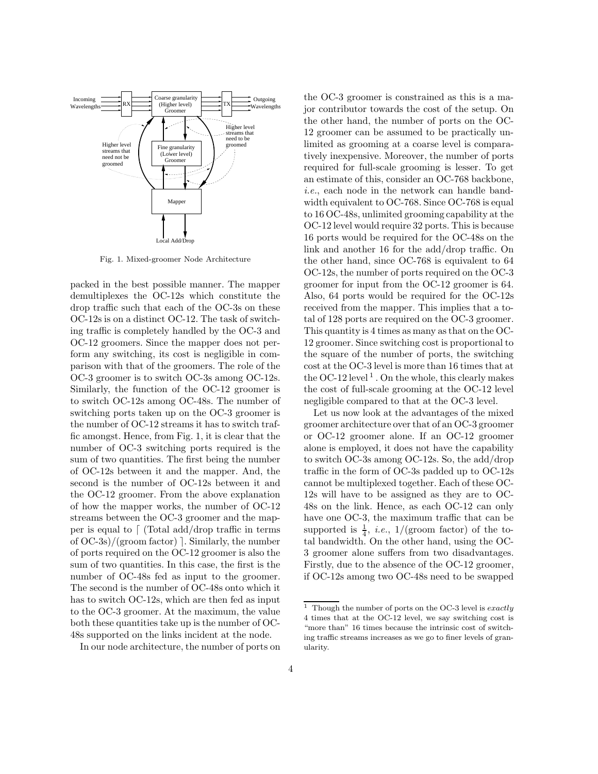

Fig. 1. Mixed-groomer Node Architecture

packed in the best possible manner. The mapper demultiplexes the OC-12s which constitute the drop traffic such that each of the OC-3s on these OC-12s is on a distinct OC-12. The task of switching traffic is completely handled by the OC-3 and OC-12 groomers. Since the mapper does not perform any switching, its cost is negligible in comparison with that of the groomers. The role of the OC-3 groomer is to switch OC-3s among OC-12s. Similarly, the function of the OC-12 groomer is to switch OC-12s among OC-48s. The number of switching ports taken up on the OC-3 groomer is the number of OC-12 streams it has to switch traffic amongst. Hence, from Fig. 1, it is clear that the number of OC-3 switching ports required is the sum of two quantities. The first being the number of OC-12s between it and the mapper. And, the second is the number of OC-12s between it and the OC-12 groomer. From the above explanation of how the mapper works, the number of OC-12 streams between the OC-3 groomer and the mapper is equal to  $\int$  (Total add/drop traffic in terms of  $OC-3s$ /(groom factor) . Similarly, the number of ports required on the OC-12 groomer is also the sum of two quantities. In this case, the first is the number of OC-48s fed as input to the groomer. The second is the number of OC-48s onto which it has to switch OC-12s, which are then fed as input to the OC-3 groomer. At the maximum, the value both these quantities take up is the number of OC-48s supported on the links incident at the node.

In our node architecture, the number of ports on

the OC-3 groomer is constrained as this is a major contributor towards the cost of the setup. On the other hand, the number of ports on the OC-12 groomer can be assumed to be practically unlimited as grooming at a coarse level is comparatively inexpensive. Moreover, the number of ports required for full-scale grooming is lesser. To get an estimate of this, consider an OC-768 backbone, i.e., each node in the network can handle bandwidth equivalent to OC-768. Since OC-768 is equal to 16 OC-48s, unlimited grooming capability at the OC-12 level would require 32 ports. This is because 16 ports would be required for the OC-48s on the link and another 16 for the add/drop traffic. On the other hand, since OC-768 is equivalent to 64 OC-12s, the number of ports required on the OC-3 groomer for input from the OC-12 groomer is 64. Also, 64 ports would be required for the OC-12s received from the mapper. This implies that a total of 128 ports are required on the OC-3 groomer. This quantity is 4 times as many asthat on the OC-12 groomer. Since switching cost is proportional to the square of the number of ports, the switching cost at the OC-3 level is more than 16 times that at the OC-12 level<sup>1</sup>. On the whole, this clearly makes the cost of full-scale grooming at the OC-12 level negligible compared to that at the OC-3 level.

Let us now look at the advantages of the mixed groomer architecture overthat of an OC-3 groomer or OC-12 groomer alone. If an OC-12 groomer alone is employed, it does not have the capability to switch OC-3s among OC-12s. So, the add/drop traffic in the form of OC-3s padded up to OC-12s cannot be multiplexed together. Each of these OC-12s will have to be assigned as they are to OC-48s on the link. Hence, as each OC-12 can only have one OC-3, the maximum traffic that can be supported is  $\frac{1}{4}$ , *i.e.*,  $1/(\text{groom factor})$  of the total bandwidth. On the other hand, using the OC-3 groomer alone suffers from two disadvantages. Firstly, due to the absence of the OC-12 groomer, if OC-12s among two OC-48s need to be swapped

 $^{\rm 1}$  Though the number of ports on the OC-3 level is  $exactly$ 4 times that at the OC-12 level, we say switching cost is "more than" 16 times because the intrinsic cost of switching traffic streams increases as we go to finer levels of granularity.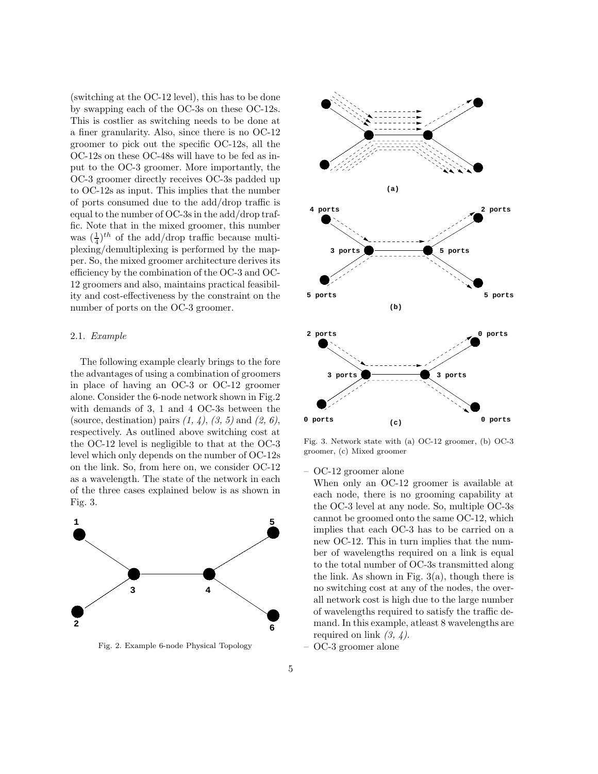(switching at the OC-12 level), this has to be done by swapping each of the OC-3s on these OC-12s. This is costlier as switching needs to be done at a finer granularity. Also, since there is no OC-12 groomer to pick out the specific OC-12s, all the OC-12s on these OC-48s will have to be fed as input to the OC-3 groomer. More importantly, the OC-3 groomer directly receives OC-3s padded up to OC-12s as input. This implies that the number of ports consumed due to the add/drop traffic is equal to the number of OC-3s in the add/drop traffic. Note that in the mixed groomer, this number was  $\left(\frac{1}{4}\right)^{th}$  of the add/drop traffic because multiplexing/demultiplexing is performed by the mapper. So, the mixed groomer architecture derives its efficiency by the combination of the OC-3 and OC-12 groomers and also, maintains practical feasibility and cost-effectiveness by the constraint on the number of ports on the OC-3 groomer.

# 2.1. Example

The following example clearly brings to the fore the advantages of using a combination of groomers in place of having an OC-3 or OC-12 groomer alone. Consider the 6-node network shown in Fig.2 with demands of 3, 1 and 4 OC-3s between the (source, destination) pairs  $(1, 4)$ ,  $(3, 5)$  and  $(2, 6)$ , respectively. As outlined above switching cost at the OC-12 level is negligible to that at the OC-3 level which only depends on the number of OC-12s on the link. So, from here on, we consider OC-12 as a wavelength. The state of the network in each of the three cases explained below is as shown in Fig. 3.



Fig. 2. Example 6-node Physical Topology



Fig. 3. Network state with (a) OC-12 groomer, (b) OC-3 groomer, (c) Mixed groomer

#### – OC-12 groomer alone

implies that each OC-3 has to be carried on a of wavelengths required to satisfy the traffic denew OC-12. This in turn implies that the number of wavelengths required on a link is equal all network cost is high due to the large number the link. As shown in Fig. 3(a), though there is to the total number of OC-3s transmitted along When only an OC-12 groomer is available at each node, there is no grooming capability at the OC-3 level at any node. So, multiple OC-3s cannot be groomed onto the same OC-12, which no switching cost at any of the nodes, the overmand. In this example, atleast 8 wavelengths are required on link  $(3, 4)$ .

– OC-3 groomer alone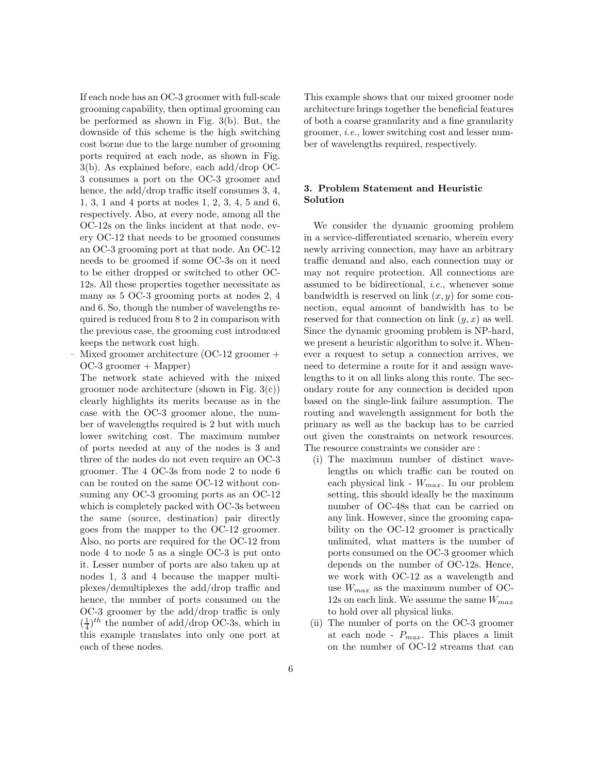If each node has an OC-3 groomer with full-scale grooming capability, then optimal grooming can be performed as shown in Fig. 3(b). But, the downside of this scheme is the high switching cost borne due to the large number of grooming ports required at each node, as shown in Fig. 3(b). As explained before, each add/drop OC-3 consumes a port on the OC-3 groomer and hence, the add/drop traffic itself consumes 3, 4, 1, 3, 1 and 4 ports at nodes 1, 2, 3, 4, 5 and 6, respectively. Also, at every node, among all the OC-12s on the links incident at that node, every OC-12 that needs to be groomed consumes an OC-3 grooming port at that node. An OC-12 needs to be groomed if some OC-3s on it need to be either dropped or switched to other OC-12s. All these properties together necessitate as many as 5 OC-3 grooming ports at nodes 2, 4 and 6. So, though the number of wavelengths required is reduced from 8 to 2 in comparison with the previous case, the grooming cost introduced keeps the network cost high.

– Mixed groomer architecture (OC-12 groomer + OC-3 groomer + Mapper)

The network state achieved with the mixed groomer node architecture (shown in Fig.  $3(c)$ ) clearly highlights its merits because as in the case with the OC-3 groomer alone, the number of wavelengths required is 2 but with much lower switching cost. The maximum number of ports needed at any of the nodes is 3 and three of the nodes do not even require an OC-3 groomer. The 4 OC-3s from node 2 to node 6 can be routed on the same OC-12 without consuming any OC-3 grooming ports as an OC-12 which is completely packed with OC-3s between the same (source, destination) pair directly goes from the mapper to the OC-12 groomer. Also, no ports are required for the OC-12 from node 4 to node 5 as a single OC-3 is put onto it. Lesser number of ports are also taken up at nodes 1, 3 and 4 because the mapper multiplexes/demultiplexes the add/drop traffic and hence, the number of ports consumed on the OC-3 groomer by the add/drop traffic is only  $\left(\frac{1}{4}\right)^{th}$  the number of add/drop OC-3s, which in this example translates into only one port at each of these nodes.

This example shows that our mixed groomer node architecture brings together the beneficial features of both a coarse granularity and a fine granularity groomer, i.e., lower switching cost and lesser number of wavelengths required, respectively.

# 3. Problem Statement and Heuristic Solution

We consider the dynamic grooming problem in a service-differentiated scenario, wherein every newly arriving connection, may have an arbitrary traffic demand and also, each connection may or may not require protection. All connections are assumed to be bidirectional, i.e., whenever some bandwidth is reserved on link  $(x, y)$  for some connection, equal amount of bandwidth has to be reserved for that connection on link  $(y, x)$  as well. Since the dynamic grooming problem is NP-hard, we present a heuristic algorithm to solve it. Whenever a request to setup a connection arrives, we need to determine a route for it and assign wavelengths to it on all links along this route. The secondary route for any connection is decided upon based on the single-link failure assumption. The routing and wavelength assignment for both the primary as well as the backup has to be carried out given the constraints on network resources. The resource constraints we consider are :

- (i) The maximum number of distinct wavelengths on which traffic can be routed on each physical link -  $W_{max}$ . In our problem setting, this should ideally be the maximum number of OC-48s that can be carried on any link. However, since the grooming capability on the OC-12 groomer is practically unlimited, what matters is the number of ports consumed on the OC-3 groomer which depends on the number of OC-12s. Hence, we work with OC-12 as a wavelength and use  $W_{max}$  as the maximum number of OC-12s on each link. We assume the same  $W_{max}$ to hold over all physical links.
- (ii) The number of ports on the OC-3 groomer at each node -  $P_{max}$ . This places a limit on the number of OC-12 streams that can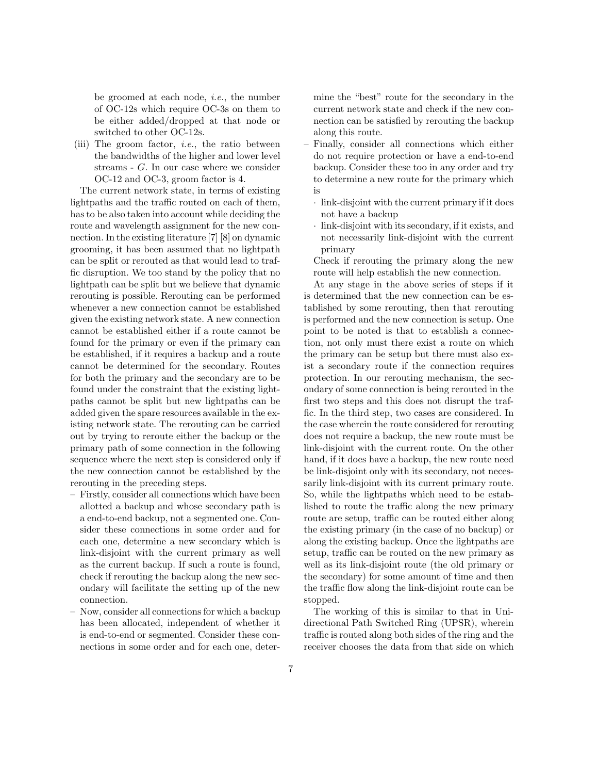be groomed at each node, i.e., the number of OC-12s which require OC-3s on them to be either added/dropped at that node or switched to other OC-12s.

(iii) The groom factor, *i.e.*, the ratio between the bandwidths of the higher and lower level streams - G. In our case where we consider OC-12 and OC-3, groom factor is 4.

The current network state, in terms of existing lightpaths and the traffic routed on each of them, hasto be also taken into account while deciding the route and wavelength assignment for the new connection. In the existing literature [7] [8] on dynamic grooming, it has been assumed that no lightpath can be split or rerouted as that would lead to traffic disruption. We too stand by the policy that no lightpath can be split but we believe that dynamic rerouting is possible. Rerouting can be performed whenever a new connection cannot be established given the existing network state. A new connection cannot be established either if a route cannot be found for the primary or even if the primary can be established, if it requires a backup and a route cannot be determined for the secondary. Routes for both the primary and the secondary are to be found under the constraint that the existing lightpaths cannot be split but new lightpaths can be added given the spare resources available in the existing network state. The rerouting can be carried out by trying to reroute either the backup or the primary path of some connection in the following sequence where the next step is considered only if the new connection cannot be established by the rerouting in the preceding steps.

- Firstly, consider all connections which have been allotted a backup and whose secondary path is a end-to-end backup, not a segmented one. Consider these connections in some order and for each one, determine a new secondary which is link-disjoint with the current primary as well as the current backup. If such a route is found, check if rerouting the backup along the new secondary will facilitate the setting up of the new connection.
- Now, consider all connectionsfor which a backup has been allocated, independent of whether it is end-to-end or segmented. Consider these connections in some order and for each one, deter-

mine the "best" route for the secondary in the current network state and check if the new connection can be satisfied by rerouting the backup along this route.

- Finally, consider all connections which either do not require protection or have a end-to-end backup. Consider these too in any order and try to determine a new route for the primary which is
	- · link-disjoint with the current primary if it does not have a backup
	- · link-disjoint with its secondary, if it exists, and not necessarily link-disjoint with the current primary
	- Check if rerouting the primary along the new route will help establish the new connection.

At any stage in the above series of steps if it is determined that the new connection can be established by some rerouting, then that rerouting is performed and the new connection is setup. One point to be noted is that to establish a connection, not only must there exist a route on which the primary can be setup but there must also exist a secondary route if the connection requires protection. In our rerouting mechanism, the secondary of some connection is being rerouted in the first two steps and this does not disrupt the traffic. In the third step, two cases are considered. In the case wherein the route considered for rerouting does not require a backup, the new route must be link-disjoint with the current route. On the other hand, if it does have a backup, the new route need be link-disjoint only with its secondary, not necessarily link-disjoint with its current primary route. So, while the lightpaths which need to be established to route the traffic along the new primary route are setup, traffic can be routed either along the existing primary (in the case of no backup) or along the existing backup. Once the lightpaths are setup, traffic can be routed on the new primary as well as its link-disjoint route (the old primary or the secondary) for some amount of time and then the traffic flow along the link-disjoint route can be stopped.

The working of this is similar to that in Unidirectional Path Switched Ring (UPSR), wherein traffic is routed along both sides of the ring and the receiver chooses the data from that side on which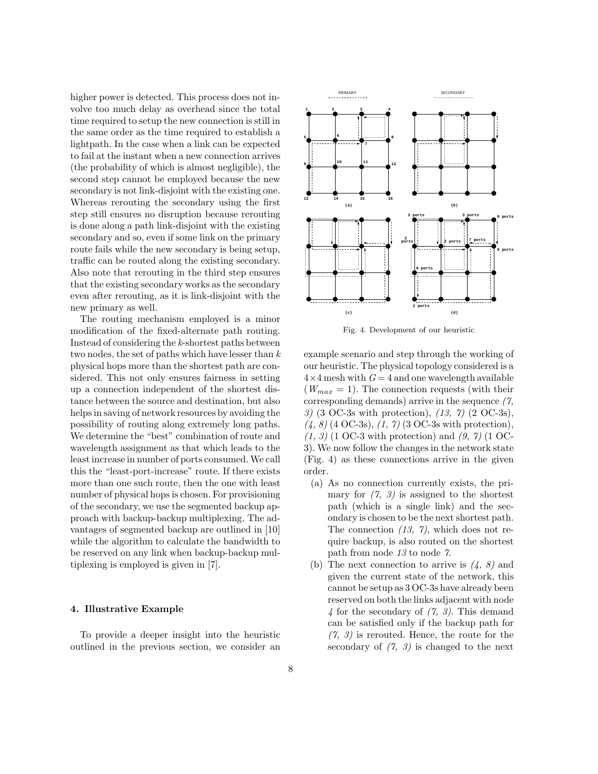higher power is detected. This process does not involve too much delay as overhead since the total time required to setup the new connection is still in the same order as the time required to establish a lightpath. In the case when a link can be expected to fail at the instant when a new connection arrives (the probability of which is almost negligible), the second step cannot be employed because the new secondary is not link-disjoint with the existing one. Whereas rerouting the secondary using the first step still ensures no disruption because rerouting is done along a path link-disjoint with the existing secondary and so, even if some link on the primary route fails while the new secondary is being setup, traffic can be routed along the existing secondary. Also note that rerouting in the third step ensures that the existing secondary works as the secondary even after rerouting, as it is link-disjoint with the new primary as well.

The routing mechanism employed is a minor modification of the fixed-alternate path routing. Instead of considering the k-shortest paths between two nodes, the set of paths which have lesser than  $k$ physical hops more than the shortest path are considered. This not only ensures fairness in setting up a connection independent of the shortest distance between the source and destination, but also helps in saving of network resources by avoiding the possibility of routing along extremely long paths. We determine the "best" combination of route and wavelength assignment as that which leads to the leastincrease in number of ports consumed. We call this the "least-port-increase" route. If there exists more than one such route, then the one with least number of physical hopsis chosen. For provisioning of the secondary, we use the segmented backup approach with backup-backup multiplexing. The advantages of segmented backup are outlined in [10] while the algorithm to calculate the bandwidth to be reserved on any link when backup-backup multiplexing is employed is given in [7].

## 4. Illustrative Example

To provide a deeper insight into the heuristic outlined in the previous section, we consider an



Fig. 4. Development of our heuristic

example scenario and step through the working of our heuristic. The physical topology considered is a  $4 \times 4$  mesh with  $G = 4$  and one wavelength available  $(W_{max} = 1)$ . The connection requests (with their corresponding demands) arrive in the sequence (7, 3) (3 OC-3s with protection), (13, 7) (2 OC-3s),  $(4, 8)$  (4 OC-3s),  $(1, 7)$  (3 OC-3s with protection),  $(1, 3)$  (1 OC-3 with protection) and  $(9, 7)$  (1 OC-3). We now follow the changes in the network state (Fig. 4) as these connections arrive in the given order.

- (a) As no connection currently exists, the primary for  $(7, 3)$  is assigned to the shortest path (which is a single link) and the secondary is chosen to be the next shortest path. The connection  $(13, 7)$ , which does not require backup, is also routed on the shortest path from node 13 to node 7.
- (b) The next connection to arrive is  $(4, 8)$  and given the current state of the network, this cannot be setup as 3 OC-3s have already been reserved on both the links adjacent with node  $\frac{1}{4}$  for the secondary of  $(7, 3)$ . This demand can be satisfied only if the backup path for  $(7, 3)$  is rerouted. Hence, the route for the secondary of  $(7, 3)$  is changed to the next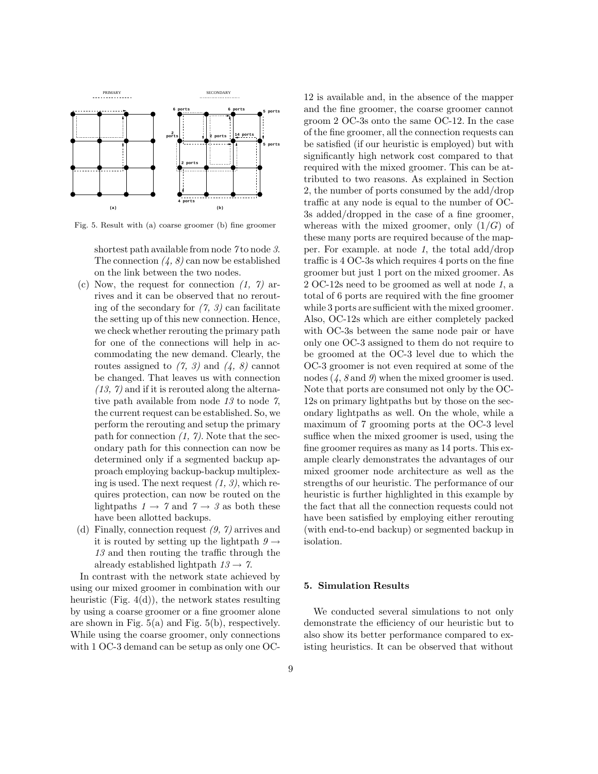

Fig. 5. Result with (a) coarse groomer (b) fine groomer

shortest path available from node 7 to node 3. The connection  $(4, 8)$  can now be established on the link between the two nodes.

- (c) Now, the request for connection  $(1, 7)$  arrives and it can be observed that no rerouting of the secondary for  $(7, 3)$  can facilitate the setting up of this new connection. Hence, we check whether rerouting the primary path for one of the connections will help in accommodating the new demand. Clearly, the routes assigned to  $(7, 3)$  and  $(4, 8)$  cannot be changed. That leaves us with connection  $(13, 7)$  and if it is rerouted along the alternative path available from node 13 to node 7, the current request can be established. So, we perform the rerouting and setup the primary path for connection  $(1, 7)$ . Note that the secondary path for this connection can now be determined only if a segmented backup approach employing backup-backup multiplexing is used. The next request  $(1, 3)$ , which requires protection, can now be routed on the lightpaths  $1 \rightarrow 7$  and  $7 \rightarrow 3$  as both these have been allotted backups.
- (d) Finally, connection request (9, 7) arrives and it is routed by setting up the lightpath  $9 \rightarrow$ 13 and then routing the traffic through the already established lightpath  $13 \rightarrow 7$ .

In contrast with the network state achieved by using our mixed groomer in combination with our heuristic (Fig.  $4(d)$ ), the network states resulting by using a coarse groomer or a fine groomer alone are shown in Fig. 5(a) and Fig. 5(b), respectively. While using the coarse groomer, only connections with 1 OC-3 demand can be setup as only one OC-

12 is available and, in the absence of the mapper and the fine groomer, the coarse groomer cannot groom 2 OC-3s onto the same OC-12. In the case of the fine groomer, all the connection requests can be satisfied (if our heuristic is employed) but with significantly high network cost compared to that required with the mixed groomer. This can be attributed to two reasons. As explained in Section 2, the number of ports consumed by the add/drop traffic at any node is equal to the number of OC-3s added/dropped in the case of a fine groomer, whereas with the mixed groomer, only  $(1/G)$  of these many ports are required because of the mapper. For example. at node 1, the total add/drop traffic is 4 OC-3s which requires 4 ports on the fine groomer but just 1 port on the mixed groomer. As 2 OC-12s need to be groomed as well at node 1, a total of 6 ports are required with the fine groomer while 3 ports are sufficient with the mixed groomer. Also, OC-12s which are either completely packed with OC-3s between the same node pair or have only one OC-3 assigned to them do not require to be groomed at the OC-3 level due to which the OC-3 groomer is not even required at some of the nodes  $(4, 8 \text{ and } 9)$  when the mixed groomer is used. Note that ports are consumed not only by the OC-12s on primary lightpaths but by those on the secondary lightpaths as well. On the whole, while a maximum of 7 grooming ports at the OC-3 level suffice when the mixed groomer is used, using the fine groomer requires as many as 14 ports. This example clearly demonstrates the advantages of our mixed groomer node architecture as well as the strengths of our heuristic. The performance of our heuristic is further highlighted in this example by the fact that all the connection requests could not have been satisfied by employing either rerouting (with end-to-end backup) or segmented backup in isolation.

## 5. Simulation Results

We conducted several simulations to not only demonstrate the efficiency of our heuristic but to also show its better performance compared to existing heuristics. It can be observed that without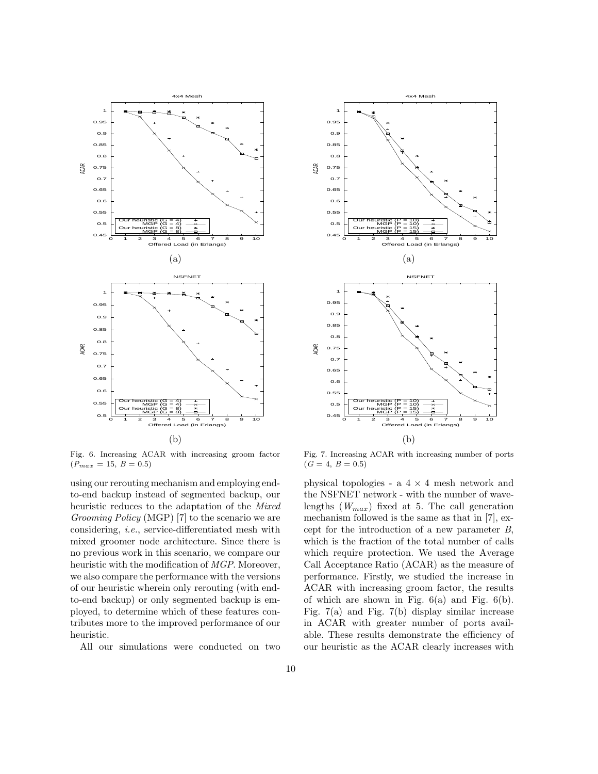

Fig. 6. Increasing ACAR with increasing groom factor  $(P_{max} = 15, B = 0.5)$ 

using our rerouting mechanism and employing endto-end backup instead of segmented backup, our heuristic reduces to the adaptation of the Mixed Grooming Policy (MGP) [7] to the scenario we are considering, i.e., service-differentiated mesh with mixed groomer node architecture. Since there is no previous work in this scenario, we compare our heuristic with the modification of MGP. Moreover, we also compare the performance with the versions of our heuristic wherein only rerouting (with endto-end backup) or only segmented backup is employed, to determine which of these features contributes more to the improved performance of our heuristic.

All our simulations were conducted on two



Fig. 7. Increasing ACAR with increasing number of ports  $(G = 4, B = 0.5)$ 

physical topologies - a  $4 \times 4$  mesh network and the NSFNET network - with the number of wavelengths  $(W_{max})$  fixed at 5. The call generation mechanism followed is the same as that in [7], except for the introduction of a new parameter B, which is the fraction of the total number of calls which require protection. We used the Average Call Acceptance Ratio (ACAR) as the measure of performance. Firstly, we studied the increase in ACAR with increasing groom factor, the results of which are shown in Fig.  $6(a)$  and Fig.  $6(b)$ . Fig. 7(a) and Fig. 7(b) display similar increase in ACAR with greater number of ports available. These results demonstrate the efficiency of our heuristic as the ACAR clearly increases with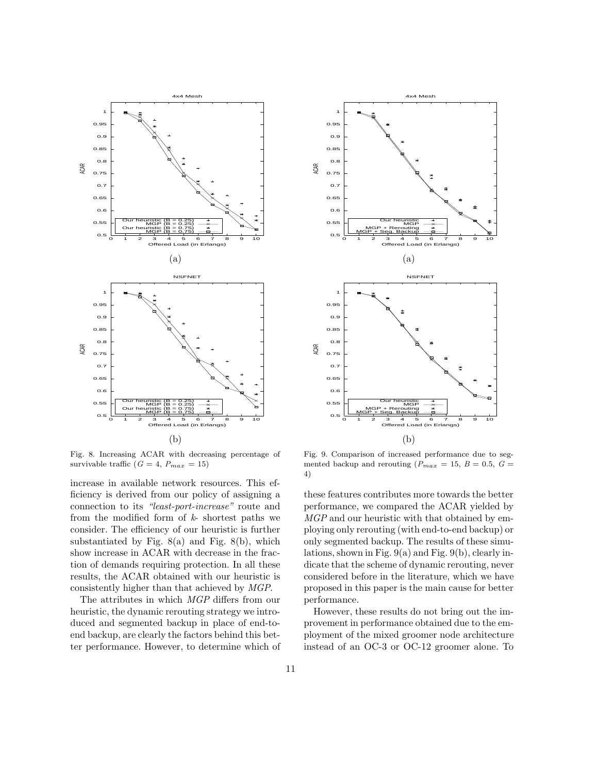

Fig. 8. Increasing ACAR with decreasing percentage of survivable traffic  $(G = 4, P_{max} = 15)$ 

increase in available network resources. This efficiency is derived from our policy of assigning a connection to its "least-port-increase" route and from the modified form of  $k$ -shortest paths we consider. The efficiency of our heuristic is further substantiated by Fig.  $8(a)$  and Fig.  $8(b)$ , which show increase in ACAR with decrease in the fraction of demands requiring protection. In all these results, the ACAR obtained with our heuristic is consistently higher than that achieved by MGP.

The attributes in which MGP differs from our heuristic, the dynamic rerouting strategy we introduced and segmented backup in place of end-toend backup, are clearly the factors behind this better performance. However, to determine which of



Fig. 9. Comparison of increased performance due to segmented backup and rerouting ( $P_{max} = 15$ ,  $B = 0.5$ ,  $G =$ 4)

these features contributes more towards the better performance, we compared the ACAR yielded by MGP and our heuristic with that obtained by employing only rerouting (with end-to-end backup) or only segmented backup. The results of these simulations, shown in Fig. 9(a) and Fig. 9(b), clearly indicate that the scheme of dynamic rerouting, never considered before in the literature, which we have proposed in this paper is the main cause for better performance.

However, these results do not bring out the improvement in performance obtained due to the employment of the mixed groomer node architecture instead of an OC-3 or OC-12 groomer alone. To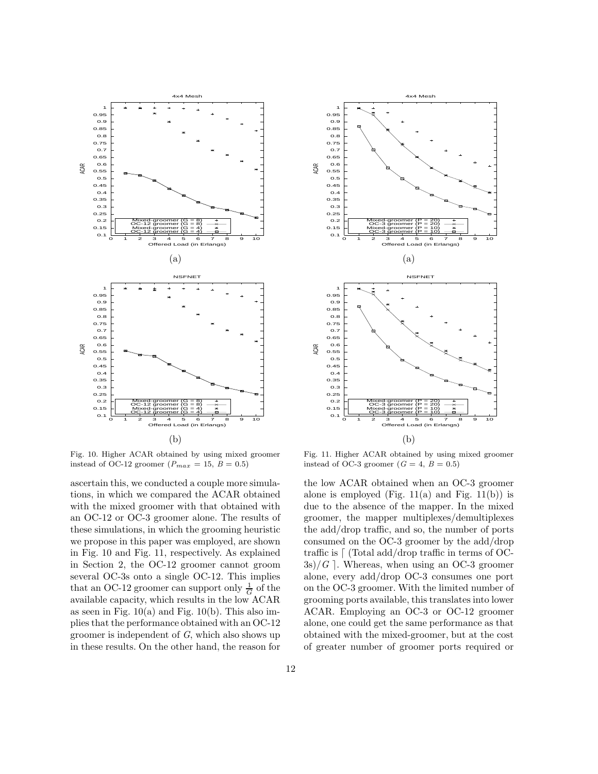

Fig. 10. Higher ACAR obtained by using mixed groomer instead of OC-12 groomer ( $P_{max} = 15, B = 0.5$ )

ascertain this, we conducted a couple more simulations, in which we compared the ACAR obtained with the mixed groomer with that obtained with an OC-12 or OC-3 groomer alone. The results of these simulations, in which the grooming heuristic we propose in this paper was employed, are shown in Fig. 10 and Fig. 11, respectively. As explained in Section 2, the OC-12 groomer cannot groom several OC-3s onto a single OC-12. This implies that an OC-12 groomer can support only  $\frac{1}{G}$  of the available capacity, which results in the low ACAR as seen in Fig.  $10(a)$  and Fig.  $10(b)$ . This also implies that the performance obtained with an OC-12 groomer is independent of G, which also shows up in these results. On the other hand, the reason for



Fig. 11. Higher ACAR obtained by using mixed groomer instead of OC-3 groomer ( $G = 4$ ,  $B = 0.5$ )

the low ACAR obtained when an OC-3 groomer alone is employed (Fig.  $11(a)$  and Fig.  $11(b)$ ) is due to the absence of the mapper. In the mixed groomer, the mapper multiplexes/demultiplexes the add/drop traffic, and so, the number of ports consumed on the OC-3 groomer by the add/drop traffic is  $\lceil$  (Total add/drop traffic in terms of OC- $3s$ / $G$ ]. Whereas, when using an OC-3 groomer alone, every add/drop OC-3 consumes one port on the OC-3 groomer. With the limited number of grooming ports available, this translates into lower ACAR. Employing an OC-3 or OC-12 groomer alone, one could get the same performance as that obtained with the mixed-groomer, but at the cost of greater number of groomer ports required or